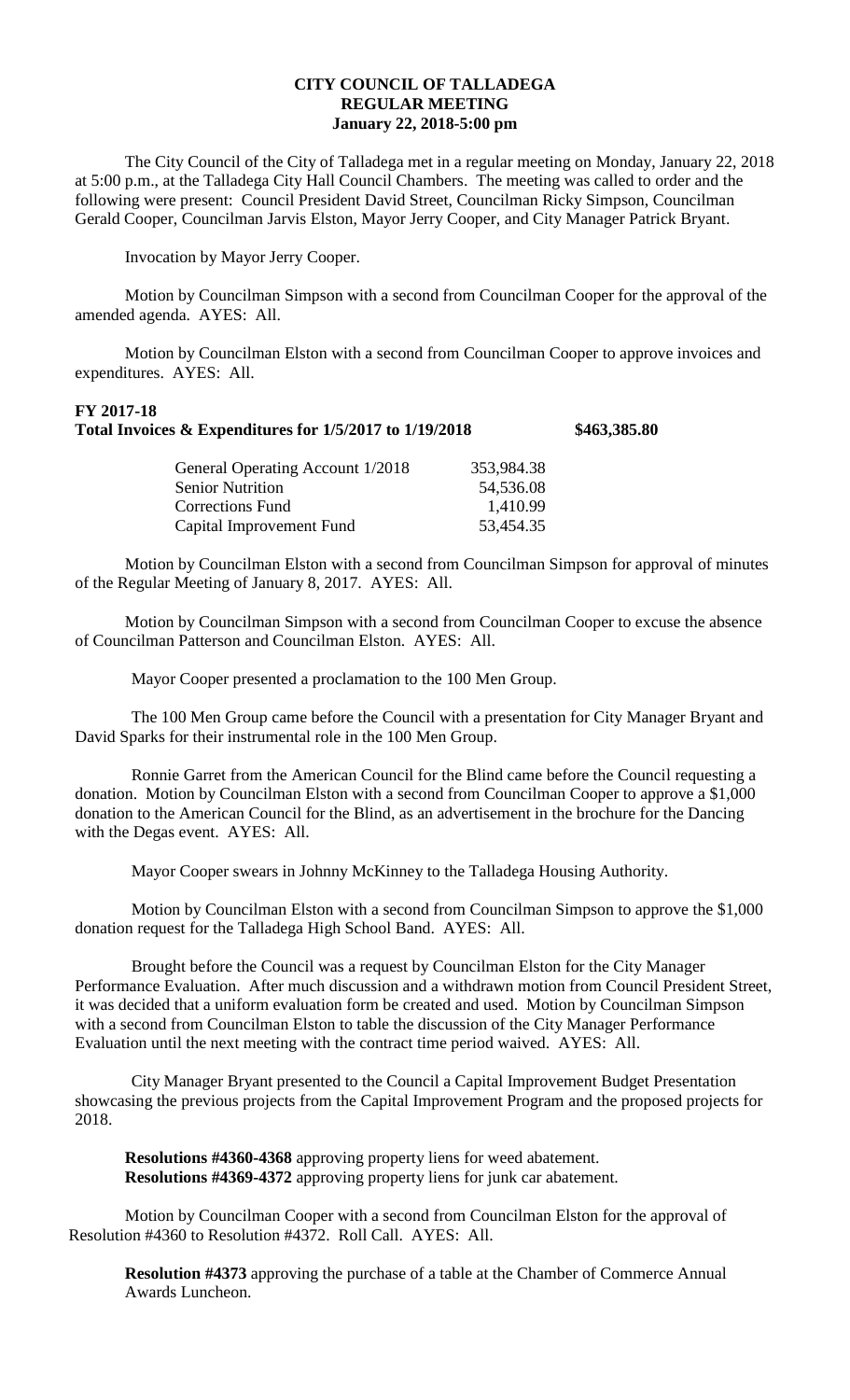## **CITY COUNCIL OF TALLADEGA REGULAR MEETING January 22, 2018-5:00 pm**

The City Council of the City of Talladega met in a regular meeting on Monday, January 22, 2018 at 5:00 p.m., at the Talladega City Hall Council Chambers. The meeting was called to order and the following were present: Council President David Street, Councilman Ricky Simpson, Councilman Gerald Cooper, Councilman Jarvis Elston, Mayor Jerry Cooper, and City Manager Patrick Bryant.

Invocation by Mayor Jerry Cooper.

Motion by Councilman Simpson with a second from Councilman Cooper for the approval of the amended agenda. AYES: All.

Motion by Councilman Elston with a second from Councilman Cooper to approve invoices and expenditures. AYES: All.

## **FY 2017-18 Total Invoices & Expenditures for 1/5/2017 to 1/19/2018 \$463,385.80**

| General Operating Account 1/2018 | 353,984.38 |
|----------------------------------|------------|
| <b>Senior Nutrition</b>          | 54,536.08  |
| Corrections Fund                 | 1,410.99   |
| Capital Improvement Fund         | 53,454.35  |

Motion by Councilman Elston with a second from Councilman Simpson for approval of minutes of the Regular Meeting of January 8, 2017. AYES: All.

Motion by Councilman Simpson with a second from Councilman Cooper to excuse the absence of Councilman Patterson and Councilman Elston. AYES: All.

Mayor Cooper presented a proclamation to the 100 Men Group.

The 100 Men Group came before the Council with a presentation for City Manager Bryant and David Sparks for their instrumental role in the 100 Men Group.

Ronnie Garret from the American Council for the Blind came before the Council requesting a donation. Motion by Councilman Elston with a second from Councilman Cooper to approve a \$1,000 donation to the American Council for the Blind, as an advertisement in the brochure for the Dancing with the Degas event. AYES: All.

Mayor Cooper swears in Johnny McKinney to the Talladega Housing Authority.

Motion by Councilman Elston with a second from Councilman Simpson to approve the \$1,000 donation request for the Talladega High School Band. AYES: All.

Brought before the Council was a request by Councilman Elston for the City Manager Performance Evaluation. After much discussion and a withdrawn motion from Council President Street, it was decided that a uniform evaluation form be created and used. Motion by Councilman Simpson with a second from Councilman Elston to table the discussion of the City Manager Performance Evaluation until the next meeting with the contract time period waived. AYES: All.

City Manager Bryant presented to the Council a Capital Improvement Budget Presentation showcasing the previous projects from the Capital Improvement Program and the proposed projects for 2018.

**Resolutions #4360-4368** approving property liens for weed abatement. **Resolutions #4369-4372** approving property liens for junk car abatement.

Motion by Councilman Cooper with a second from Councilman Elston for the approval of Resolution #4360 to Resolution #4372. Roll Call. AYES: All.

**Resolution #4373** approving the purchase of a table at the Chamber of Commerce Annual Awards Luncheon.